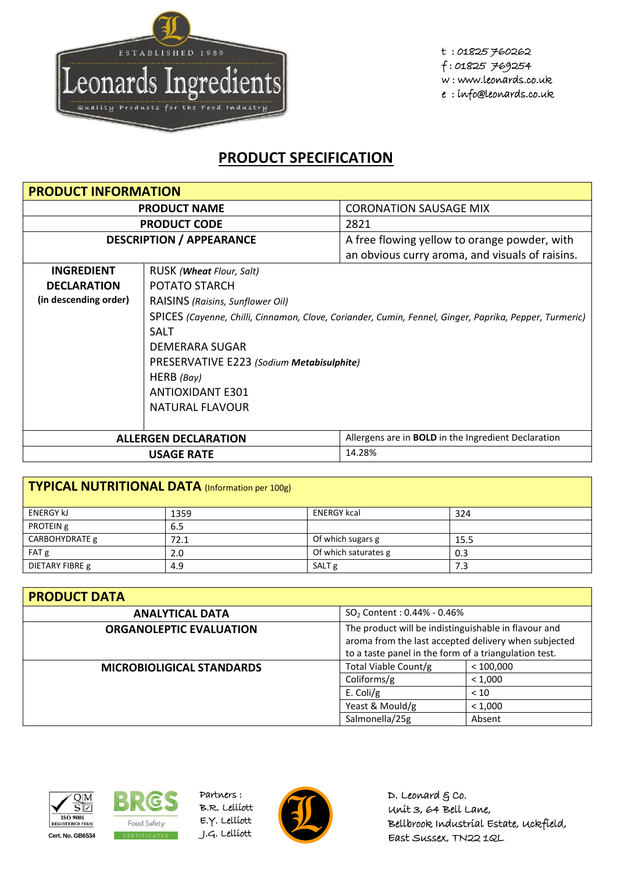

t : 01825 760262 f : 01825 769254 w : www.leonards.co.uk e : info@leonards.co.uk

## **PRODUCT SPECIFICATION**

| <b>PRODUCT INFORMATION</b>      |                                                                                                        |                                                            |  |
|---------------------------------|--------------------------------------------------------------------------------------------------------|------------------------------------------------------------|--|
| <b>PRODUCT NAME</b>             |                                                                                                        | <b>CORONATION SAUSAGE MIX</b>                              |  |
| <b>PRODUCT CODE</b>             |                                                                                                        | 2821                                                       |  |
| <b>DESCRIPTION / APPEARANCE</b> |                                                                                                        | A free flowing yellow to orange powder, with               |  |
|                                 |                                                                                                        | an obvious curry aroma, and visuals of raisins.            |  |
| <b>INGREDIENT</b>               | RUSK ( <b>Wheat</b> Flour, Salt)                                                                       |                                                            |  |
| <b>DECLARATION</b>              | POTATO STARCH                                                                                          |                                                            |  |
| (in descending order)           | RAISINS (Raisins, Sunflower Oil)                                                                       |                                                            |  |
|                                 | SPICES (Cayenne, Chilli, Cinnamon, Clove, Coriander, Cumin, Fennel, Ginger, Paprika, Pepper, Turmeric) |                                                            |  |
|                                 | <b>SALT</b>                                                                                            |                                                            |  |
|                                 | DEMERARA SUGAR                                                                                         |                                                            |  |
|                                 | PRESERVATIVE E223 (Sodium Metabisulphite)                                                              |                                                            |  |
|                                 | HERB (Bay)                                                                                             |                                                            |  |
|                                 | ANTIOXIDANT E301                                                                                       |                                                            |  |
|                                 | NATURAL FLAVOUR                                                                                        |                                                            |  |
|                                 |                                                                                                        |                                                            |  |
|                                 | <b>ALLERGEN DECLARATION</b>                                                                            | Allergens are in <b>BOLD</b> in the Ingredient Declaration |  |
| 14.28%<br><b>USAGE RATE</b>     |                                                                                                        |                                                            |  |

| TYPICAL NUTRITIONAL DATA (Information per 100g) |      |                      |      |  |
|-------------------------------------------------|------|----------------------|------|--|
| <b>ENERGY KJ</b>                                | 1359 | <b>ENERGY kcal</b>   | 324  |  |
| PROTEIN g                                       | 6.5  |                      |      |  |
| CARBOHYDRATE g                                  | 72.1 | Of which sugars g    | 15.5 |  |
| FAT g                                           | 2.0  | Of which saturates g | 0.3  |  |
| DIETARY FIBRE g                                 | 4.9  | SALT <sub>g</sub>    | 7.3  |  |

| <b>PRODUCT DATA</b>              |                                                                                                                                                                       |           |  |
|----------------------------------|-----------------------------------------------------------------------------------------------------------------------------------------------------------------------|-----------|--|
| <b>ANALYTICAL DATA</b>           | $SO_2$ Content : 0.44% - 0.46%                                                                                                                                        |           |  |
| <b>ORGANOLEPTIC EVALUATION</b>   | The product will be indistinguishable in flavour and<br>aroma from the last accepted delivery when subjected<br>to a taste panel in the form of a triangulation test. |           |  |
| <b>MICROBIOLIGICAL STANDARDS</b> | Total Viable Count/g                                                                                                                                                  | < 100.000 |  |
|                                  | Coliforms/g                                                                                                                                                           | < 1,000   |  |
|                                  | E. Coli/g                                                                                                                                                             | < 10      |  |
|                                  | Yeast & Mould/g                                                                                                                                                       | < 1,000   |  |
|                                  | Salmonella/25g                                                                                                                                                        | Absent    |  |





Partners : B.R. Lelliott E.Y. Lelliott



D. Leonard  $g$  co. Unit 3, 64 Bell Lane, Bellbrook Industrial Estate, Uckfield, East Sussex, TN22 1QL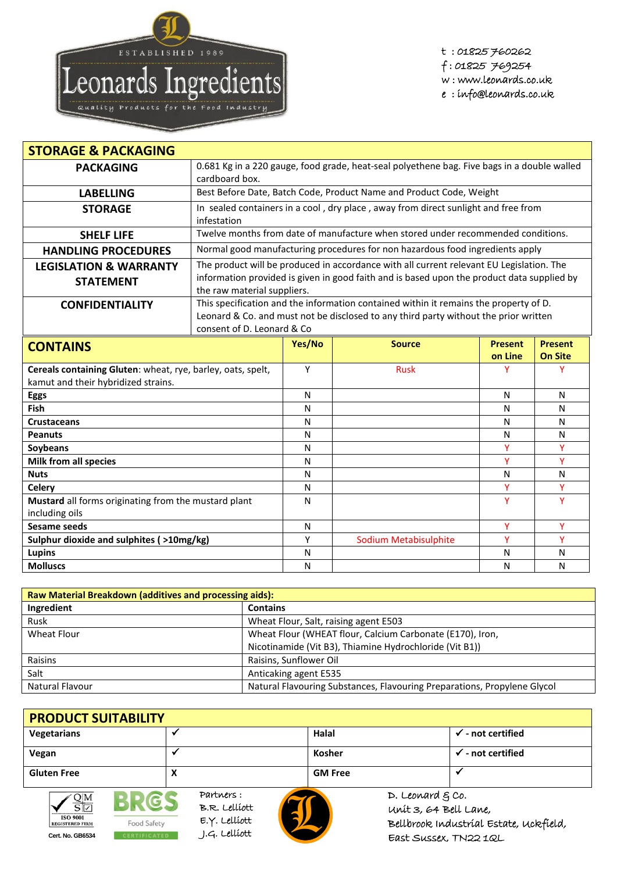

t : 01825 760262 f : 01825 769254 w : www.leonards.co.uk

e : info@leonards.co.uk

| <b>STORAGE &amp; PACKAGING</b>                                         |                                                                                                                                                                                                                       |              |                                                                                  |                |                |
|------------------------------------------------------------------------|-----------------------------------------------------------------------------------------------------------------------------------------------------------------------------------------------------------------------|--------------|----------------------------------------------------------------------------------|----------------|----------------|
| <b>PACKAGING</b>                                                       | 0.681 Kg in a 220 gauge, food grade, heat-seal polyethene bag. Five bags in a double walled<br>cardboard box.                                                                                                         |              |                                                                                  |                |                |
| <b>LABELLING</b>                                                       | Best Before Date, Batch Code, Product Name and Product Code, Weight                                                                                                                                                   |              |                                                                                  |                |                |
| <b>STORAGE</b>                                                         | In sealed containers in a cool, dry place, away from direct sunlight and free from<br>infestation                                                                                                                     |              |                                                                                  |                |                |
| <b>SHELF LIFE</b>                                                      |                                                                                                                                                                                                                       |              | Twelve months from date of manufacture when stored under recommended conditions. |                |                |
| <b>HANDLING PROCEDURES</b>                                             |                                                                                                                                                                                                                       |              | Normal good manufacturing procedures for non hazardous food ingredients apply    |                |                |
| <b>LEGISLATION &amp; WARRANTY</b><br><b>STATEMENT</b>                  | The product will be produced in accordance with all current relevant EU Legislation. The<br>information provided is given in good faith and is based upon the product data supplied by<br>the raw material suppliers. |              |                                                                                  |                |                |
| <b>CONFIDENTIALITY</b>                                                 | This specification and the information contained within it remains the property of D.<br>Leonard & Co. and must not be disclosed to any third party without the prior written<br>consent of D. Leonard & Co           |              |                                                                                  |                |                |
| <b>CONTAINS</b>                                                        |                                                                                                                                                                                                                       | Yes/No       | <b>Source</b>                                                                    | <b>Present</b> | <b>Present</b> |
|                                                                        |                                                                                                                                                                                                                       |              |                                                                                  | on Line        | <b>On Site</b> |
| Cereals containing Gluten: wheat, rye, barley, oats, spelt,            |                                                                                                                                                                                                                       | Y            | <b>Rusk</b>                                                                      | Υ              | Y              |
| kamut and their hybridized strains.                                    |                                                                                                                                                                                                                       |              |                                                                                  |                |                |
| <b>Eggs</b>                                                            |                                                                                                                                                                                                                       | N            |                                                                                  | N              | N              |
| <b>Fish</b>                                                            |                                                                                                                                                                                                                       | N            |                                                                                  | N              | $\mathsf{N}$   |
| <b>Crustaceans</b>                                                     |                                                                                                                                                                                                                       | N            |                                                                                  | N              | $\mathsf{N}$   |
| <b>Peanuts</b>                                                         |                                                                                                                                                                                                                       | $\mathsf{N}$ |                                                                                  | N              | N              |
| Soybeans                                                               |                                                                                                                                                                                                                       | N            |                                                                                  | Y              | Y              |
| Milk from all species                                                  |                                                                                                                                                                                                                       | $\mathsf{N}$ |                                                                                  | Ÿ              | Ÿ              |
| <b>Nuts</b>                                                            |                                                                                                                                                                                                                       | ${\sf N}$    |                                                                                  | N              | $\mathsf{N}$   |
| <b>Celery</b>                                                          |                                                                                                                                                                                                                       | N            |                                                                                  | Y              | Y              |
| Mustard all forms originating from the mustard plant<br>including oils |                                                                                                                                                                                                                       | N            |                                                                                  | Y              | Y              |
| <b>Sesame seeds</b>                                                    |                                                                                                                                                                                                                       | N            |                                                                                  | Y              | Y              |
| Sulphur dioxide and sulphites (>10mg/kg)                               |                                                                                                                                                                                                                       | Y            | <b>Sodium Metabisulphite</b>                                                     | Ÿ              | Y              |
| Lupins                                                                 |                                                                                                                                                                                                                       | N            |                                                                                  | N              | Ν              |

| <b>Raw Material Breakdown (additives and processing aids):</b> |                                                                          |  |  |
|----------------------------------------------------------------|--------------------------------------------------------------------------|--|--|
| Ingredient                                                     | <b>Contains</b>                                                          |  |  |
| Rusk                                                           | Wheat Flour, Salt, raising agent E503                                    |  |  |
| Wheat Flour                                                    | Wheat Flour (WHEAT flour, Calcium Carbonate (E170), Iron,                |  |  |
|                                                                | Nicotinamide (Vit B3), Thiamine Hydrochloride (Vit B1))                  |  |  |
| Raisins                                                        | Raisins, Sunflower Oil                                                   |  |  |
| Salt                                                           | Anticaking agent E535                                                    |  |  |
| Natural Flavour                                                | Natural Flavouring Substances, Flavouring Preparations, Propylene Glycol |  |  |

## **PRODUCT SUITABILITY Vegetarians Halal - not certified Vegan → →** *→* **<b>***not certified* **Gluten Free X GM Free**



Partners : **CS** B.R. Lelliott E.Y. Lelliott Food Safety **Cert. No. GB6534** CERTIFICATED J.G. Lelliott



D. Leonard  $g$  co. Unit 3, 64 Bell Lane, Bellbrook Industrial Estate, Uckfield, East Sussex, TN22 1QL